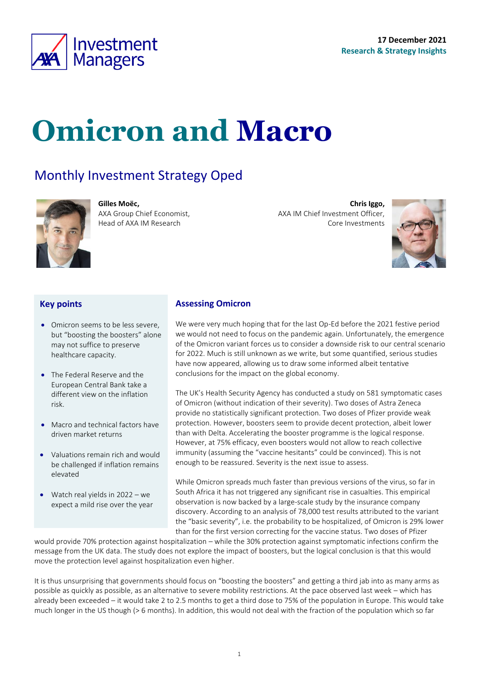

# **Omicron and Macro**

**Assessing Omicron**

#### Monthly Investment Strategy Oped



**Gilles Moëc,** AXA Group Chief Economist, Head of AXA IM Research

**Chris Iggo,**  AXA IM Chief Investment Officer, Core Investments

<span id="page-0-0"></span>

#### **Key points**

- Omicron seems to be less severe, but "boosting the boosters" alone may not suffice to preserve healthcare capacity.
- The Federal Reserve and the European Central Bank take a different view on the inflation risk.
- Macro and technical factors have driven market returns
- Valuations remain rich and would be challenged if inflation remains elevated
- Watch real yields in 2022 we expect a mild rise over the year

We were very much hoping that for the last Op-Ed before the 2021 festive period we would not need to focus on the pandemic again. Unfortunately, the emergence of the Omicron variant forces us to consider a downside risk to our central scenario for 2022. Much is still unknown as we write, but some quantified, serious studies have now appeared, allowing us to draw some informed albeit tentative conclusions for the impact on the global economy.

The UK's Health Security Agency has conducted a study on 581 symptomatic cases of Omicron (without indication of their severity). Two doses of Astra Zeneca provide no statistically significant protection. Two doses of Pfizer provide weak protection. However, boosters seem to provide decent protection, albeit lower than with Delta. Accelerating the booster programme is the logical response. However, at 75% efficacy, even boosters would not allow to reach collective immunity (assuming the "vaccine hesitants" could be convinced). This is not enough to be reassured. Severity is the next issue to assess.

While Omicron spreads much faster than previous versions of the virus, so far in South Africa it has not triggered any significant rise in casualties. This empirical observation is now backed by a large-scale study by the insurance company discovery. According to an analysis of 78,000 test results attributed to the variant the "basic severity", i.e. the probability to be hospitalized, of Omicron is 29% lower than for the first version correcting for the vaccine status. Two doses of Pfizer

would provide 70% protection against hospitalization – while the 30% protection against symptomatic infections confirm the message from the UK data. The study does not explore the impact of boosters, but the logical conclusion is that this would move the protection level against hospitalization even higher.

It is thus unsurprising that governments should focus on "boosting the boosters" and getting a third jab into as many arms as possible as quickly as possible, as an alternative to severe mobility restrictions. At the pace observed last week – which has already been exceeded – it would take 2 to 2.5 months to get a third dose to 75% of the population in Europe. This would take much longer in the US though (> 6 months). In addition, this would not deal with the fraction of the population which so far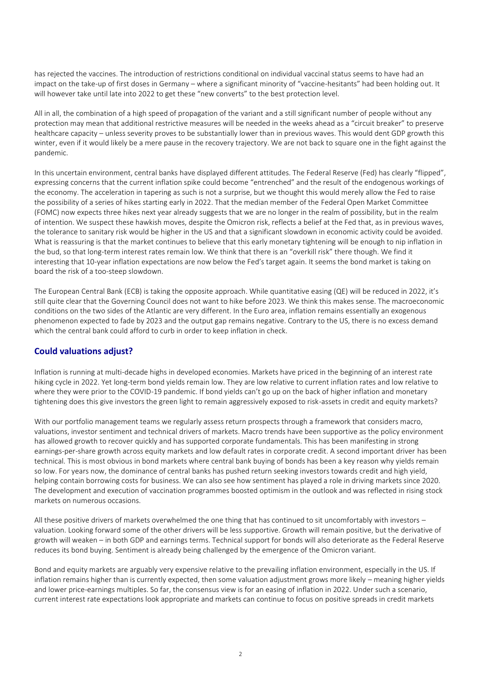has rejected the vaccines. The introduction of restrictions conditional on individual vaccinal status seems to have had an impact on the take-up of first doses in Germany – where a significant minority of "vaccine-hesitants" had been holding out. It will however take until late into 2022 to get these "new converts" to the best protection level.

All in all, the combination of a high speed of propagation of the variant and a still significant number of people without any protection may mean that additional restrictive measures will be needed in the weeks ahead as a "circuit breaker" to preserve healthcare capacity – unless severity proves to be substantially lower than in previous waves. This would dent GDP growth this winter, even if it would likely be a mere pause in the recovery trajectory. We are not back to square one in the fight against the pandemic.

In this uncertain environment, central banks have displayed different attitudes. The Federal Reserve (Fed) has clearly "flipped", expressing concerns that the current inflation spike could become "entrenched" and the result of the endogenous workings of the economy. The acceleration in tapering as such is not a surprise, but we thought this would merely allow the Fed to raise the possibility of a series of hikes starting early in 2022. That the median member of the Federal Open Market Committee (FOMC) now expects three hikes next year already suggests that we are no longer in the realm of possibility, but in the realm of intention. We suspect these hawkish moves, despite the Omicron risk, reflects a belief at the Fed that, as in previous waves, the tolerance to sanitary risk would be higher in the US and that a significant slowdown in economic activity could be avoided. What is reassuring is that the market continues to believe that this early monetary tightening will be enough to nip inflation in the bud, so that long-term interest rates remain low. We think that there is an "overkill risk" there though. We find it interesting that 10-year inflation expectations are now below the Fed's target again. It seems the bond market is taking on board the risk of a too-steep slowdown.

The European Central Bank (ECB) is taking the opposite approach. While quantitative easing (QE) will be reduced in 2022, it's still quite clear that the Governing Council does not want to hike before 2023. We think this makes sense. The macroeconomic conditions on the two sides of the Atlantic are very different. In the Euro area, inflation remains essentially an exogenous phenomenon expected to fade by 2023 and the output gap remains negative. Contrary to the US, there is no excess demand which the central bank could afford to curb in order to keep inflation in check.

#### **Could valuations adjust?**

Inflation is running at multi-decade highs in developed economies. Markets have priced in the beginning of an interest rate hiking cycle in 2022. Yet long-term bond yields remain low. They are low relative to current inflation rates and low relative to where they were prior to the COVID-19 pandemic. If bond yields can't go up on the back of higher inflation and monetary tightening does this give investors the green light to remain aggressively exposed to risk-assets in credit and equity markets?

With our portfolio management teams we regularly assess return prospects through a framework that considers macro, valuations, investor sentiment and technical drivers of markets. Macro trends have been supportive as the policy environment has allowed growth to recover quickly and has supported corporate fundamentals. This has been manifesting in strong earnings-per-share growth across equity markets and low default rates in corporate credit. A second important driver has been technical. This is most obvious in bond markets where central bank buying of bonds has been a key reason why yields remain so low. For years now, the dominance of central banks has pushed return seeking investors towards credit and high yield, helping contain borrowing costs for business. We can also see how sentiment has played a role in driving markets since 2020. The development and execution of vaccination programmes boosted optimism in the outlook and was reflected in rising stock markets on numerous occasions.

All these positive drivers of markets overwhelmed the one thing that has continued to sit uncomfortably with investors – valuation. Looking forward some of the other drivers will be less supportive. Growth will remain positive, but the derivative of growth will weaken – in both GDP and earnings terms. Technical support for bonds will also deteriorate as the Federal Reserve reduces its bond buying. Sentiment is already being challenged by the emergence of the Omicron variant.

Bond and equity markets are arguably very expensive relative to the prevailing inflation environment, especially in the US. If inflation remains higher than is currently expected, then some valuation adjustment grows more likely – meaning higher yields and lower price-earnings multiples. So far, the consensus view is for an easing of inflation in 2022. Under such a scenario, current interest rate expectations look appropriate and markets can continue to focus on positive spreads in credit markets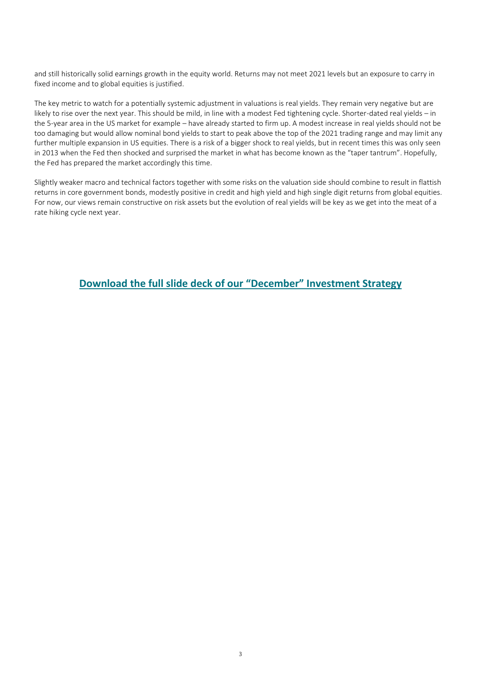and still historically solid earnings growth in the equity world. Returns may not meet 2021 levels but an exposure to carry in fixed income and to global equities is justified.

The key metric to watch for a potentially systemic adjustment in valuations is real yields. They remain very negative but are likely to rise over the next year. This should be mild, in line with a modest Fed tightening cycle. Shorter-dated real yields – in the 5-year area in the US market for example – have already started to firm up. A modest increase in real yields should not be too damaging but would allow nominal bond yields to start to peak above the top of the 2021 trading range and may limit any further multiple expansion in US equities. There is a risk of a bigger shock to real yields, but in recent times this was only seen in 2013 when the Fed then shocked and surprised the market in what has become known as the "taper tantrum". Hopefully, the Fed has prepared the market accordingly this time.

Slightly weaker macro and technical factors together with some risks on the valuation side should combine to result in flattish returns in core government bonds, modestly positive in credit and high yield and high single digit returns from global equities. For now, our views remain constructive on risk assets but the evolution of real yields will be key as we get into the meat of a rate hiking cycle next year.

**Download the full slide deck of our "Decem[ber" Investment Strategy](https://www.axa-im.com/sites/default/files/insight/pdf/axa-im-research-strategy-deck-en-2021-12.pdf)**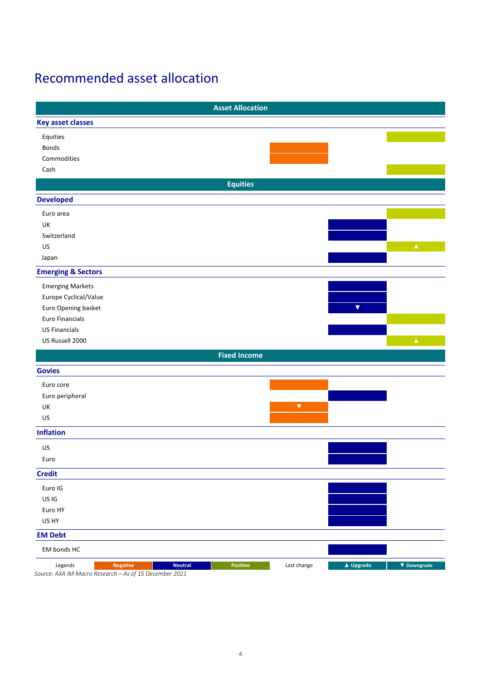### Recommended asset allocation

|                                                        |                 |                | <b>Asset Allocation</b> |                      |                         |                  |
|--------------------------------------------------------|-----------------|----------------|-------------------------|----------------------|-------------------------|------------------|
| <b>Key asset classes</b>                               |                 |                |                         |                      |                         |                  |
| Equities                                               |                 |                |                         |                      |                         |                  |
| <b>Bonds</b>                                           |                 |                |                         |                      |                         |                  |
| Commodities                                            |                 |                |                         |                      |                         |                  |
| Cash                                                   |                 |                |                         |                      |                         |                  |
|                                                        |                 |                | <b>Equities</b>         |                      |                         |                  |
| <b>Developed</b>                                       |                 |                |                         |                      |                         |                  |
| Euro area                                              |                 |                |                         |                      |                         |                  |
| UK                                                     |                 |                |                         |                      |                         |                  |
| Switzerland                                            |                 |                |                         |                      |                         |                  |
| US                                                     |                 |                |                         |                      |                         | $\blacktriangle$ |
| Japan                                                  |                 |                |                         |                      |                         |                  |
| <b>Emerging &amp; Sectors</b>                          |                 |                |                         |                      |                         |                  |
| <b>Emerging Markets</b>                                |                 |                |                         |                      |                         |                  |
| Europe Cyclical/Value                                  |                 |                |                         |                      |                         |                  |
| Euro Opening basket                                    |                 |                |                         |                      | $\overline{\mathbf{v}}$ |                  |
| Euro Financials                                        |                 |                |                         |                      |                         |                  |
| <b>US Financials</b>                                   |                 |                |                         |                      |                         |                  |
| US Russell 2000                                        |                 |                |                         |                      |                         | $\pmb{\Delta}^+$ |
|                                                        |                 |                | <b>Fixed Income</b>     |                      |                         |                  |
| <b>Govies</b>                                          |                 |                |                         |                      |                         |                  |
|                                                        |                 |                |                         |                      |                         |                  |
| Euro core                                              |                 |                |                         |                      |                         |                  |
| Euro peripheral                                        |                 |                |                         |                      |                         |                  |
| UK<br>US                                               |                 |                |                         | $\blacktriangledown$ |                         |                  |
|                                                        |                 |                |                         |                      |                         |                  |
| <b>Inflation</b>                                       |                 |                |                         |                      |                         |                  |
| US                                                     |                 |                |                         |                      |                         |                  |
| Euro                                                   |                 |                |                         |                      |                         |                  |
| <b>Credit</b>                                          |                 |                |                         |                      |                         |                  |
| Euro IG                                                |                 |                |                         |                      |                         |                  |
| US IG                                                  |                 |                |                         |                      |                         |                  |
| Euro HY                                                |                 |                |                         |                      |                         |                  |
| US HY                                                  |                 |                |                         |                      |                         |                  |
| <b>EM Debt</b>                                         |                 |                |                         |                      |                         |                  |
| EM bonds HC                                            |                 |                |                         |                      |                         |                  |
| Legends                                                | <b>Negative</b> | <b>Neutral</b> | <b>Positive</b>         | Last change          | ▲ Upgrade               | ▼ Downgrade      |
| Source: AXA IM Macro Research - As of 15 December 2021 |                 |                |                         |                      |                         |                  |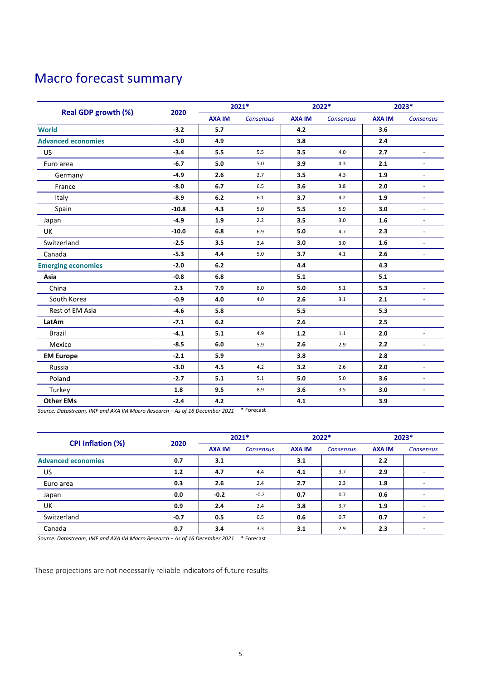### Macro forecast summary

|                            |         | 2021*         |                  | 2022*         |           | 2023*         |                          |
|----------------------------|---------|---------------|------------------|---------------|-----------|---------------|--------------------------|
| <b>Real GDP growth (%)</b> | 2020    | <b>AXA IM</b> | <b>Consensus</b> | <b>AXA IM</b> | Consensus | <b>AXA IM</b> | Consensus                |
| <b>World</b>               | $-3.2$  | 5.7           |                  | 4.2           |           | 3.6           |                          |
| <b>Advanced economies</b>  | $-5.0$  | 4.9           |                  | 3.8           |           | 2.4           |                          |
| US                         | $-3.4$  | 5.5           | 5.5              | 3.5           | 4.0       | 2.7           | ÷.                       |
| Euro area                  | $-6.7$  | 5.0           | 5.0              | 3.9           | 4.3       | 2.1           |                          |
| Germany                    | $-4.9$  | 2.6           | 2.7              | 3.5           | 4.3       | 1.9           | $\blacksquare$           |
| France                     | $-8.0$  | 6.7           | 6.5              | 3.6           | 3.8       | 2.0           |                          |
| Italy                      | $-8.9$  | 6.2           | 6.1              | 3.7           | 4.2       | 1.9           |                          |
| Spain                      | $-10.8$ | 4.3           | 5.0              | 5.5           | 5.9       | 3.0           | ÷.                       |
| Japan                      | $-4.9$  | 1.9           | 2.2              | 3.5           | 3.0       | 1.6           | $\overline{\phantom{a}}$ |
| UK                         | $-10.0$ | 6.8           | 6.9              | 5.0           | 4.7       | 2.3           | L,                       |
| Switzerland                | $-2.5$  | 3.5           | 3.4              | 3.0           | 3.0       | 1.6           | L.                       |
| Canada                     | $-5.3$  | 4.4           | 5.0              | 3.7           | 4.1       | 2.6           | L.                       |
| <b>Emerging economies</b>  | $-2.0$  | 6.2           |                  | 4.4           |           | 4.3           |                          |
| Asia                       | $-0.8$  | 6.8           |                  | 5.1           |           | 5.1           |                          |
| China                      | 2.3     | 7.9           | 8.0              | 5.0           | 5.1       | 5.3           |                          |
| South Korea                | $-0.9$  | 4.0           | 4.0              | 2.6           | 3.1       | 2.1           | $\sim$                   |
| Rest of EM Asia            | $-4.6$  | 5.8           |                  | 5.5           |           | 5.3           |                          |
| LatAm                      | $-7.1$  | 6.2           |                  | 2.6           |           | 2.5           |                          |
| <b>Brazil</b>              | $-4.1$  | 5.1           | 4.9              | $1.2$         | 1.1       | 2.0           | $\overline{\phantom{a}}$ |
| Mexico                     | $-8.5$  | 6.0           | 5.9              | 2.6           | 2.9       | 2.2           | $\overline{\phantom{a}}$ |
| <b>EM Europe</b>           | $-2.1$  | 5.9           |                  | 3.8           |           | 2.8           |                          |
| Russia                     | $-3.0$  | 4.5           | 4.2              | 3.2           | 2.6       | 2.0           |                          |
| Poland                     | $-2.7$  | 5.1           | 5.1              | 5.0           | 5.0       | 3.6           |                          |
| Turkey                     | 1.8     | 9.5           | 8.9              | 3.6           | 3.5       | 3.0           | $\overline{\phantom{a}}$ |
| <b>Other EMs</b>           | $-2.4$  | 4.2           |                  | 4.1           |           | 3.9           |                          |

*Source: Datastream, IMF and AXA IM Macro Research − As of 16 December 2021* \* Forecast

| <b>CPI Inflation (%)</b>  | 2020   | $2021*$       |                  | 2022*         |                  | 2023*         |                  |
|---------------------------|--------|---------------|------------------|---------------|------------------|---------------|------------------|
|                           |        | <b>AXA IM</b> | <b>Consensus</b> | <b>AXA IM</b> | <b>Consensus</b> | <b>AXA IM</b> | <b>Consensus</b> |
| <b>Advanced economies</b> | 0.7    | 3.1           |                  | 3.1           |                  | 2.2           |                  |
| US                        | 1.2    | 4.7           | 4.4              | 4.1           | 3.7              | 2.9           |                  |
| Euro area                 | 0.3    | 2.6           | 2.4              | 2.7           | 2.3              | 1.8           |                  |
| Japan                     | 0.0    | $-0.2$        | $-0.2$           | 0.7           | 0.7              | 0.6           |                  |
| UK                        | 0.9    | 2.4           | 2.4              | 3.8           | 3.7              | 1.9           |                  |
| Switzerland               | $-0.7$ | 0.5           | 0.5              | 0.6           | 0.7              | 0.7           |                  |
| Canada                    | 0.7    | 3.4           | 3.3              | 3.1           | 2.9              | 2.3           |                  |

*Source: Datastream, IMF and AXA IM Macro Research − As of 16 December 2021* \* Forecast

These projections are not necessarily reliable indicators of future results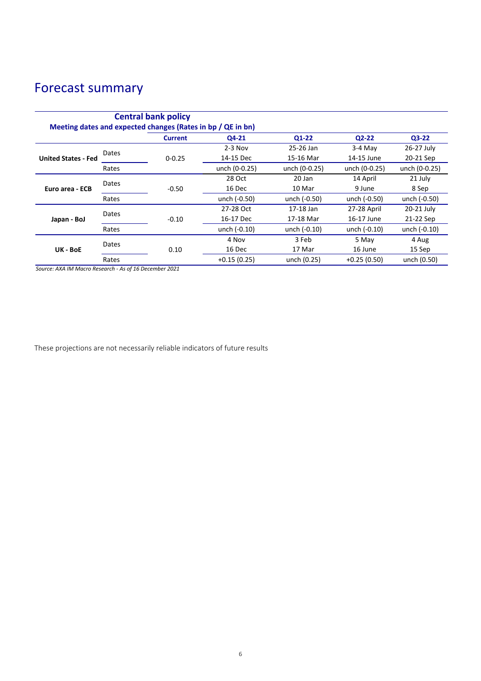## Forecast summary

| <b>Central bank policy</b><br>Meeting dates and expected changes (Rates in bp / QE in bn) |       |                |               |               |               |               |        |
|-------------------------------------------------------------------------------------------|-------|----------------|---------------|---------------|---------------|---------------|--------|
|                                                                                           |       | <b>Current</b> | Q4-21         | $Q1-22$       | $Q2-22$       | $Q3-22$       |        |
| <b>United States - Fed</b>                                                                | Dates |                | $2-3$ Nov     | 25-26 Jan     | $3-4$ Mav     | 26-27 July    |        |
|                                                                                           |       | $0 - 0.25$     | 14-15 Dec     | 15-16 Mar     | 14-15 June    | 20-21 Sep     |        |
|                                                                                           | Rates |                | unch (0-0.25) | unch (0-0.25) | unch (0-0.25) | unch (0-0.25) |        |
| Euro area - ECB                                                                           | Dates |                | 28 Oct        | 20 Jan        | 14 April      | 21 July       |        |
|                                                                                           |       | $-0.50$        | 16 Dec        | 10 Mar        | 9 June        | 8 Sep         |        |
|                                                                                           | Rates |                | unch (-0.50)  | unch (-0.50)  | unch (-0.50)  | unch (-0.50)  |        |
| Japan - BoJ                                                                               | Dates |                | 27-28 Oct     | 17-18 Jan     | 27-28 April   | 20-21 July    |        |
|                                                                                           |       | $-0.10$        | 16-17 Dec     | 17-18 Mar     | 16-17 June    | 21-22 Sep     |        |
|                                                                                           | Rates |                | unch (-0.10)  | unch (-0.10)  | unch (-0.10)  | unch (-0.10)  |        |
| UK - BoE                                                                                  | Dates |                | 4 Nov         | 3 Feb         | 5 May         | 4 Aug         |        |
|                                                                                           |       |                | 0.10          | 16 Dec        | 17 Mar        | 16 June       | 15 Sep |
|                                                                                           | Rates |                | $+0.15(0.25)$ | unch (0.25)   | $+0.25(0.50)$ | unch (0.50)   |        |

*Source: AXA IM Macro Research - As of 16 December 2021*

These projections are not necessarily reliable indicators of future results